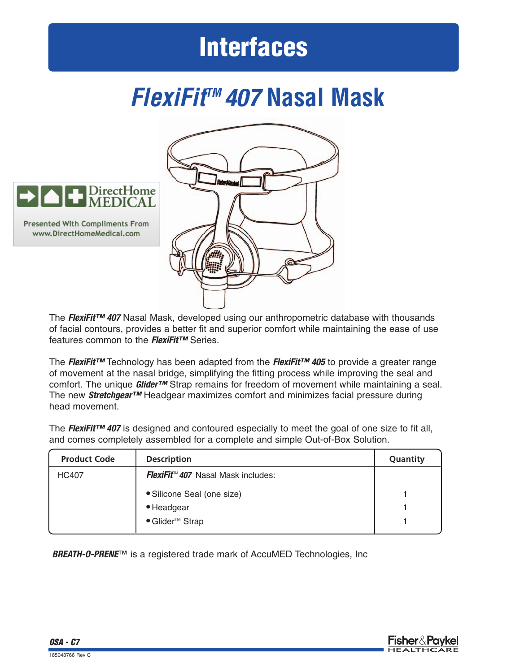## **Interfaces**

### *FlexiFitTM 407* **Nasal Mask**





The *FlexiFit™ 407* Nasal Mask, developed using our anthropometric database with thousands of facial contours, provides a better fit and superior comfort while maintaining the ease of use features common to the *FlexiFit™* Series.

The *FlexiFit™* Technology has been adapted from the *FlexiFit™ 405* to provide a greater range of movement at the nasal bridge, simplifying the fitting process while improving the seal and comfort. The unique *Glider™* Strap remains for freedom of movement while maintaining a seal. The new *Stretchgear™* Headgear maximizes comfort and minimizes facial pressure during head movement.

The *FlexiFit™ 407* is designed and contoured especially to meet the goal of one size to fit all, and comes completely assembled for a complete and simple Out-of-Box Solution.

| <b>Product Code</b> | <b>Description</b>                        | Quantity |
|---------------------|-------------------------------------------|----------|
| <b>HC407</b>        | <b>FlexiFit™ 407</b> Nasal Mask includes: |          |
|                     | · Silicone Seal (one size)                |          |
|                     | • Headgear                                |          |
|                     | ● Glider <sup>™</sup> Strap               |          |

**BREATH-O-PRENE™** is a registered trade mark of AccuMED Technologies, Inc